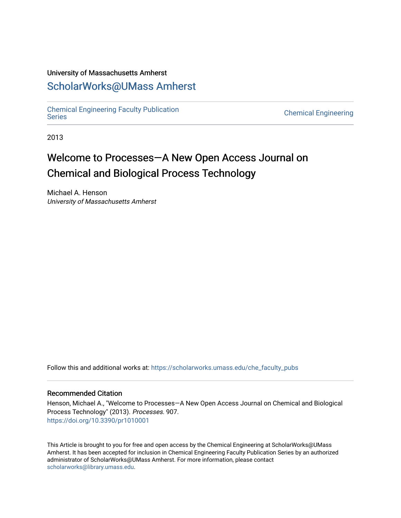## University of Massachusetts Amherst

### [ScholarWorks@UMass Amherst](https://scholarworks.umass.edu/)

[Chemical Engineering Faculty Publication](https://scholarworks.umass.edu/che_faculty_pubs)

**Chemical Engineering** 

2013

# Welcome to Processes—A New Open Access Journal on Chemical and Biological Process Technology

Michael A. Henson University of Massachusetts Amherst

Follow this and additional works at: [https://scholarworks.umass.edu/che\\_faculty\\_pubs](https://scholarworks.umass.edu/che_faculty_pubs?utm_source=scholarworks.umass.edu%2Fche_faculty_pubs%2F907&utm_medium=PDF&utm_campaign=PDFCoverPages) 

#### Recommended Citation

Henson, Michael A., "Welcome to Processes—A New Open Access Journal on Chemical and Biological Process Technology" (2013). Processes. 907. <https://doi.org/10.3390/pr1010001>

This Article is brought to you for free and open access by the Chemical Engineering at ScholarWorks@UMass Amherst. It has been accepted for inclusion in Chemical Engineering Faculty Publication Series by an authorized administrator of ScholarWorks@UMass Amherst. For more information, please contact [scholarworks@library.umass.edu.](mailto:scholarworks@library.umass.edu)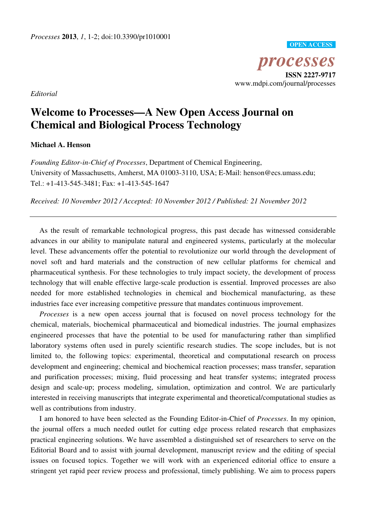*processes*  **ISSN 2227-9717**  www.mdpi.com/journal/processes **OPEN ACCESS**

*Editorial*

# **Welcome to Processes—A New Open Access Journal on Chemical and Biological Process Technology**

#### **Michael A. Henson**

*Founding Editor-in-Chief of Processes*, Department of Chemical Engineering, University of Massachusetts, Amherst, MA 01003-3110, USA; E-Mail: henson@ecs.umass.edu; Tel.: +1-413-545-3481; Fax: +1-413-545-1647

*Received: 10 November 2012 / Accepted: 10 November 2012 / Published: 21 November 2012*

As the result of remarkable technological progress, this past decade has witnessed considerable advances in our ability to manipulate natural and engineered systems, particularly at the molecular level. These advancements offer the potential to revolutionize our world through the development of novel soft and hard materials and the construction of new cellular platforms for chemical and pharmaceutical synthesis. For these technologies to truly impact society, the development of process technology that will enable effective large-scale production is essential. Improved processes are also needed for more established technologies in chemical and biochemical manufacturing, as these industries face ever increasing competitive pressure that mandates continuous improvement.

*Processes* is a new open access journal that is focused on novel process technology for the chemical, materials, biochemical pharmaceutical and biomedical industries. The journal emphasizes engineered processes that have the potential to be used for manufacturing rather than simplified laboratory systems often used in purely scientific research studies. The scope includes, but is not limited to, the following topics: experimental, theoretical and computational research on process development and engineering; chemical and biochemical reaction processes; mass transfer, separation and purification processes; mixing, fluid processing and heat transfer systems; integrated process design and scale-up; process modeling, simulation, optimization and control. We are particularly interested in receiving manuscripts that integrate experimental and theoretical/computational studies as well as contributions from industry.

I am honored to have been selected as the Founding Editor-in-Chief of *Processes*. In my opinion, the journal offers a much needed outlet for cutting edge process related research that emphasizes practical engineering solutions. We have assembled a distinguished set of researchers to serve on the Editorial Board and to assist with journal development, manuscript review and the editing of special issues on focused topics. Together we will work with an experienced editorial office to ensure a stringent yet rapid peer review process and professional, timely publishing. We aim to process papers